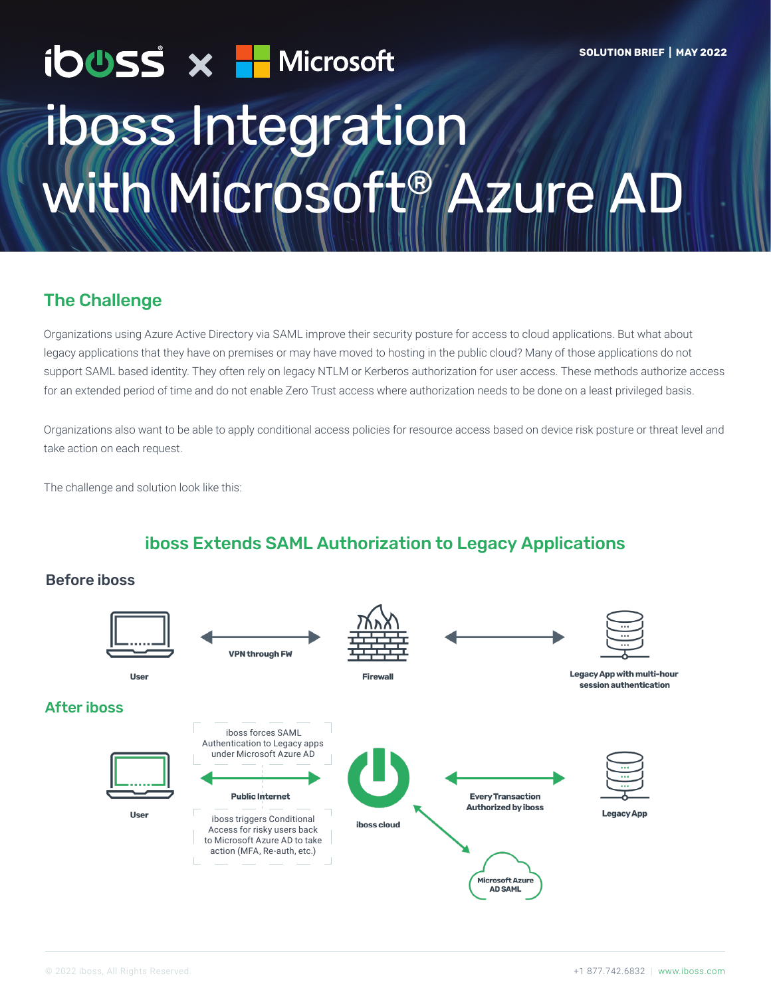# ibuss x H Microsoft **SOLUTION BRIEF | MAY 2022** iboss Integration **NWicrosoft® Azure A**

## The Challenge

Organizations using Azure Active Directory via SAML improve their security posture for access to cloud applications. But what about legacy applications that they have on premises or may have moved to hosting in the public cloud? Many of those applications do not support SAML based identity. They often rely on legacy NTLM or Kerberos authorization for user access. These methods authorize access for an extended period of time and do not enable Zero Trust access where authorization needs to be done on a least privileged basis.

Organizations also want to be able to apply conditional access policies for resource access based on device risk posture or threat level and take action on each request.

The challenge and solution look like this:

## iboss Extends SAML Authorization to Legacy Applications

#### Before iboss